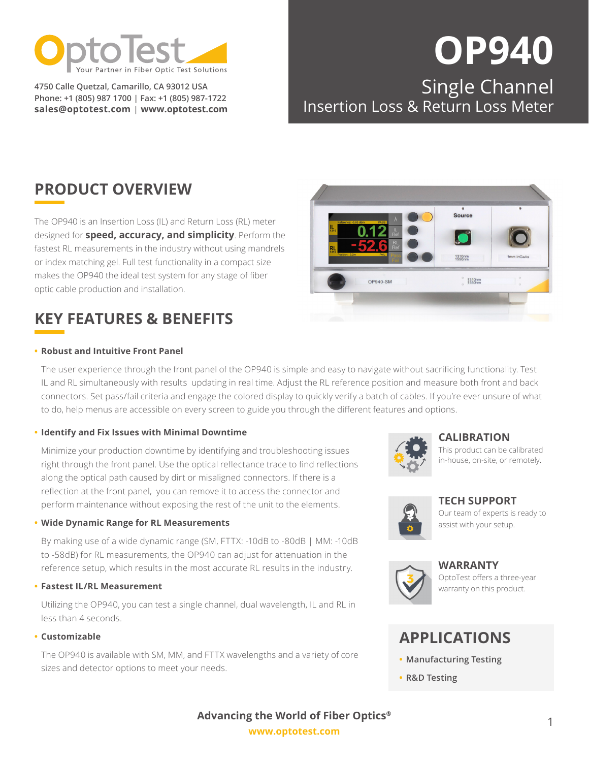

**4750 Calle Quetzal, Camarillo, CA 93012 USA Phone: +1 (805) 987 1700 | Fax: +1 (805) 987-1722 sales@optotest.com | [www.optotest.com](http://www.optotest.com)**

## **OP940** Single Channel

Source

## Insertion Loss & Return Loss Meter

## **PRODUCT OVERVIEW**

The OP940 is an Insertion Loss (IL) and Return Loss (RL) meter designed for **speed, accuracy, and simplicity**. Perform the fastest RL measurements in the industry without using mandrels or index matching gel. Full test functionality in a compact size makes the OP940 the ideal test system for any stage of fiber optic cable production and installation.

## **KEY FEATURES & BENEFITS**

#### **• Robust and Intuitive Front Panel**

The user experience through the front panel of the OP940 is simple and easy to navigate without sacrificing functionality. Test IL and RL simultaneously with results updating in real time. Adjust the RL reference position and measure both front and back connectors. Set pass/fail criteria and engage the colored display to quickly verify a batch of cables. If you're ever unsure of what to do, help menus are accessible on every screen to guide you through the different features and options.

#### **• Identify and Fix Issues with Minimal Downtime**

Minimize your production downtime by identifying and troubleshooting issues right through the front panel. Use the optical reflectance trace to find reflections along the optical path caused by dirt or misaligned connectors. If there is a reflection at the front panel, you can remove it to access the connector and perform maintenance without exposing the rest of the unit to the elements.

#### **• Wide Dynamic Range for RL Measurements**

By making use of a wide dynamic range (SM, FTTX: -10dB to -80dB | MM: -10dB to -58dB) for RL measurements, the OP940 can adjust for attenuation in the reference setup, which results in the most accurate RL results in the industry.

#### **• Fastest IL/RL Measurement**

Utilizing the OP940, you can test a single channel, dual wavelength, IL and RL in less than 4 seconds.

#### **• Customizable**

The OP940 is available with SM, MM, and FTTX wavelengths and a variety of core sizes and detector options to meet your needs.





#### **[CALIBRATION](https://www.optotest.com/calibration-services/)**

This product can be calibrated in-house, on-site, or remotely.



**[TECH SUPPORT](https://www.optotest.com/support-fiber-optic-test-equipment/tech-support-fiber-optic-test-equipment/)**

Our team of experts is ready to assist with your setup.



**[WARRANTY](https://www.optotest.com/about-optotest-fiber-optic-test-equipment/terms-conditions-fiber-optic-test-equipment/)** OptoTest offers a three-year warranty on this product.

## **APPLICATIONS**

- **• Manufacturing Testing**
- **• R&D Testing**

**[www.optotest.com](https://www.optotest.com/) Advancing the World of Fiber Optics®**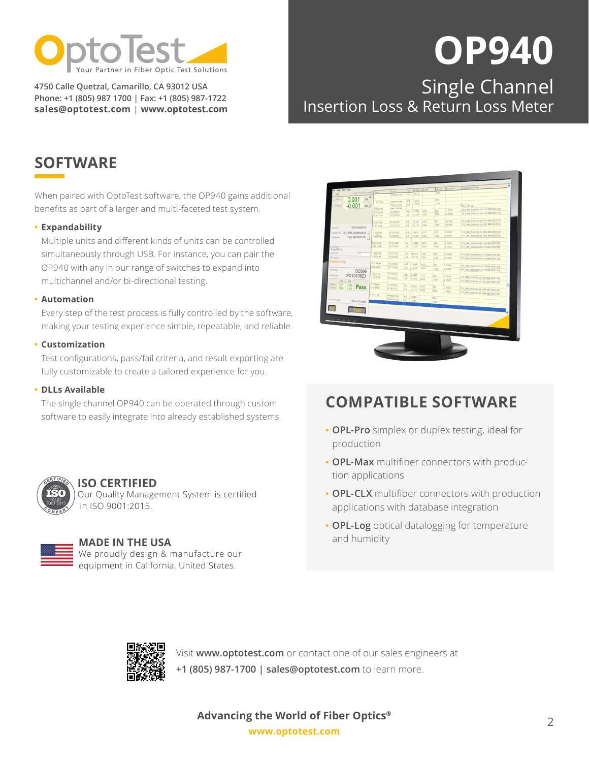

**4750 Calle Quetzal, Camarillo, CA 93012 USA Phone: +1 (805) 987 1700 | Fax: +1 (805) 987-1722 sales@optotest.com | [www.optotest.com](http://www.optotest.com)**

# **OP940**

## Single Channel Insertion Loss & Return Loss Meter

## **SOFTWARE**

When paired with OptoTest software, the OP940 gains additional benefits as part of a larger and multi-faceted test system.

#### **• Expandability**

Multiple units and different kinds of units can be controlled simultaneously through USB. For instance, you can pair the OP940 with any in our range of switches to expand into multichannel and/or bi-directional testing.

#### **• Automation**

Every step of the test process is fully controlled by the software, making your testing experience simple, repeatable, and reliable.

#### **• Customization**

Test configurations, pass/fail criteria, and result exporting are fully customizable to create a tailored experience for you.

#### **• DLLs Available**

The single channel OP940 can be operated through custom software to easily integrate into already established systems.



#### **[ISO CERTIFIED](https://www.optotest.com/capabilities/)** Our Quality Management System is certified

in ISO 9001:2015.

#### **MADE IN THE USA**

We proudly design & manufacture our equipment in California, United States.

| File Setup Action About<br>RefidErni LidER<br>Sarial<br>Slow to Test_003 air rought)<br>Time<br>1300<br>$-12.272$<br>$A-B$<br>$5 - 8$<br>Riderence Arg<br>R<br>0.001<br>$\overline{AB}$<br>350mm<br>850<br>$-16.646$<br>$A - 0$<br><b>Reference Avg</b><br>E.<br>11:57:28 AM<br>1300<br>$-12.270$<br>A B<br>$-0.001$<br>1200mm<br>Reference Arg<br>dB <sub>a</sub><br>Test 003.49<br>New Data File<br>11:50:00 AM<br>CFG_MM_Switched.xls.CH4 MM 850/1300<br>L PASS<br>850<br>0.016<br>$-16.646$<br>48<br>PC10001ZX<br>11:58:10 AM<br>CFG_MM_Switched.xls.CH4 MM 850/1300<br><b>IL PASS</b><br>1300<br>0.002<br>$-12.270$<br>AB<br>PC10101ZK<br>11.58:11 AM<br>CFG_MM_Switcheduls.CH4 MM 850/1300<br>L PASS<br>850<br>0.018<br>$-16.645$<br>$4 - 8$<br>PC10102ZX<br>11:58:16 AM<br>CFG_MM_Switched:ds.CH4 MM 850/1300<br><b>IL PASS</b><br>1300<br>0.004<br>$-12.270$<br>PC10102ZC<br>A-B<br>11:58:18 AM<br>OPLPro930.INF<br>Setup Film<br>CFG_MM_Switched.xls.CH4 MM 850/1300<br>IL PASS<br>850<br>11:53:20 AM<br>PC10103ZX<br>A.8<br>$-16.645$<br>0.019<br>Paando Fie CFG MM Switched.xls<br>CFO. MM. Switched.xls.CH4 MM 850/1300<br>$-12.270$<br>0.004<br>1300<br>L PASS<br>11:58:21 AM<br>PC10103ZK<br>A-B<br>CH4 MM 850/1300<br>11:58:23 AM<br>PC10104ZC<br>$A - B$<br>18.645<br>850<br>0.019<br><b>IL PASS</b><br>CFG_MM_Switched.ds.CH4 MM 850/1300<br>11:58:24 AM<br>PC10104ZK<br>$-12.270$<br>A-B<br>0.006<br><b>Data File</b><br>1300<br><b>IL PASS</b><br>CFG_MM_Switched.xls.CH4 MM 850/1300<br>Test 003.xis<br>11:58:28 AM<br>Curvet Royc<br>PC10105ZX<br>A-B<br>$-16.645$<br>0.021<br>m<br>\$50<br><b>IL PASS</b><br>CFG_MM_Switched.xls.CH4 MM 850/1300<br>11:58:28 AM<br>PC10105ZX<br>$A - B$<br>$-12.270$<br>0.006<br>Messages-<br>1300<br>IL PASS<br>CFG_MM_Switched.vis.CH4 MM 850/1300<br>Reference Ava<br>11:58:34 AM<br>PC10106ZK<br>A-B<br>$-16.645$<br>0.023<br>850<br>L PASS<br>CFG_MM_Switchedxis.CH4 MM 850/1300<br>11:58:25 AM<br>PC10106ZX<br>$A - B$<br>$-12.270$<br>0.004<br>1300<br><b>IL PASS</b><br>CFG_MM_Switched.xls CH4 MM 850/1300<br>OC006<br>11.58.28 AM<br>PC10107Z6<br>PC10108ZX<br>斗日<br>$-16.644$<br>Smid Munhar<br>0.024<br>850<br><b>IL PASS</b><br>11:58:39 AM<br>CFG_MM_Switched.vis.CH4 MM 850/1300<br>PC10107ZX<br>$A-B$<br>$-12.270$<br>0.006<br>1300<br>L PASS<br>A.B.<br>CFG_MM_Switched.ds.CH4 MM \$50/1300<br>R.A.<br>1.58 48 AM<br>0.027<br>0.000<br>PC10107Z4<br>$A - B$<br>$-18.844$<br>Pass<br>0.027<br>850<br>1:58:49 AM<br><b>IL PASS</b><br>0.008<br>orm<br>PC101072X<br>CFG_MM_Switchedats.CH4 MM 850/1300<br>AB<br>$-12.270$<br>0.008<br>1200<br>L PASS<br>CFG_MM_Switchedols.CH4 MM 850/1300<br>1:59:37 AM<br>Reference Avg<br>$A - B$<br>$-18.858$<br>850<br>Reference Avg<br>$A-B$<br>$-12.260$<br>Retest Count 0<br>1300 |                   |  |  |     |  | ive.ton! | PassiFall | ParameteoConfig |
|-----------------------------------------------------------------------------------------------------------------------------------------------------------------------------------------------------------------------------------------------------------------------------------------------------------------------------------------------------------------------------------------------------------------------------------------------------------------------------------------------------------------------------------------------------------------------------------------------------------------------------------------------------------------------------------------------------------------------------------------------------------------------------------------------------------------------------------------------------------------------------------------------------------------------------------------------------------------------------------------------------------------------------------------------------------------------------------------------------------------------------------------------------------------------------------------------------------------------------------------------------------------------------------------------------------------------------------------------------------------------------------------------------------------------------------------------------------------------------------------------------------------------------------------------------------------------------------------------------------------------------------------------------------------------------------------------------------------------------------------------------------------------------------------------------------------------------------------------------------------------------------------------------------------------------------------------------------------------------------------------------------------------------------------------------------------------------------------------------------------------------------------------------------------------------------------------------------------------------------------------------------------------------------------------------------------------------------------------------------------------------------------------------------------------------------------------------------------------------------------------------------------------------------------------------------------------------------------------------------------------------------------------------------------------------------------------------------------------------------------------------------------------------------------------|-------------------|--|--|-----|--|----------|-----------|-----------------|
|                                                                                                                                                                                                                                                                                                                                                                                                                                                                                                                                                                                                                                                                                                                                                                                                                                                                                                                                                                                                                                                                                                                                                                                                                                                                                                                                                                                                                                                                                                                                                                                                                                                                                                                                                                                                                                                                                                                                                                                                                                                                                                                                                                                                                                                                                                                                                                                                                                                                                                                                                                                                                                                                                                                                                                                               |                   |  |  | nir |  |          |           |                 |
|                                                                                                                                                                                                                                                                                                                                                                                                                                                                                                                                                                                                                                                                                                                                                                                                                                                                                                                                                                                                                                                                                                                                                                                                                                                                                                                                                                                                                                                                                                                                                                                                                                                                                                                                                                                                                                                                                                                                                                                                                                                                                                                                                                                                                                                                                                                                                                                                                                                                                                                                                                                                                                                                                                                                                                                               |                   |  |  |     |  |          |           |                 |
|                                                                                                                                                                                                                                                                                                                                                                                                                                                                                                                                                                                                                                                                                                                                                                                                                                                                                                                                                                                                                                                                                                                                                                                                                                                                                                                                                                                                                                                                                                                                                                                                                                                                                                                                                                                                                                                                                                                                                                                                                                                                                                                                                                                                                                                                                                                                                                                                                                                                                                                                                                                                                                                                                                                                                                                               |                   |  |  |     |  |          |           |                 |
|                                                                                                                                                                                                                                                                                                                                                                                                                                                                                                                                                                                                                                                                                                                                                                                                                                                                                                                                                                                                                                                                                                                                                                                                                                                                                                                                                                                                                                                                                                                                                                                                                                                                                                                                                                                                                                                                                                                                                                                                                                                                                                                                                                                                                                                                                                                                                                                                                                                                                                                                                                                                                                                                                                                                                                                               |                   |  |  |     |  |          |           |                 |
|                                                                                                                                                                                                                                                                                                                                                                                                                                                                                                                                                                                                                                                                                                                                                                                                                                                                                                                                                                                                                                                                                                                                                                                                                                                                                                                                                                                                                                                                                                                                                                                                                                                                                                                                                                                                                                                                                                                                                                                                                                                                                                                                                                                                                                                                                                                                                                                                                                                                                                                                                                                                                                                                                                                                                                                               |                   |  |  |     |  |          |           |                 |
|                                                                                                                                                                                                                                                                                                                                                                                                                                                                                                                                                                                                                                                                                                                                                                                                                                                                                                                                                                                                                                                                                                                                                                                                                                                                                                                                                                                                                                                                                                                                                                                                                                                                                                                                                                                                                                                                                                                                                                                                                                                                                                                                                                                                                                                                                                                                                                                                                                                                                                                                                                                                                                                                                                                                                                                               |                   |  |  |     |  |          |           |                 |
|                                                                                                                                                                                                                                                                                                                                                                                                                                                                                                                                                                                                                                                                                                                                                                                                                                                                                                                                                                                                                                                                                                                                                                                                                                                                                                                                                                                                                                                                                                                                                                                                                                                                                                                                                                                                                                                                                                                                                                                                                                                                                                                                                                                                                                                                                                                                                                                                                                                                                                                                                                                                                                                                                                                                                                                               |                   |  |  |     |  |          |           |                 |
|                                                                                                                                                                                                                                                                                                                                                                                                                                                                                                                                                                                                                                                                                                                                                                                                                                                                                                                                                                                                                                                                                                                                                                                                                                                                                                                                                                                                                                                                                                                                                                                                                                                                                                                                                                                                                                                                                                                                                                                                                                                                                                                                                                                                                                                                                                                                                                                                                                                                                                                                                                                                                                                                                                                                                                                               |                   |  |  |     |  |          |           |                 |
|                                                                                                                                                                                                                                                                                                                                                                                                                                                                                                                                                                                                                                                                                                                                                                                                                                                                                                                                                                                                                                                                                                                                                                                                                                                                                                                                                                                                                                                                                                                                                                                                                                                                                                                                                                                                                                                                                                                                                                                                                                                                                                                                                                                                                                                                                                                                                                                                                                                                                                                                                                                                                                                                                                                                                                                               |                   |  |  |     |  |          |           |                 |
|                                                                                                                                                                                                                                                                                                                                                                                                                                                                                                                                                                                                                                                                                                                                                                                                                                                                                                                                                                                                                                                                                                                                                                                                                                                                                                                                                                                                                                                                                                                                                                                                                                                                                                                                                                                                                                                                                                                                                                                                                                                                                                                                                                                                                                                                                                                                                                                                                                                                                                                                                                                                                                                                                                                                                                                               |                   |  |  |     |  |          |           |                 |
|                                                                                                                                                                                                                                                                                                                                                                                                                                                                                                                                                                                                                                                                                                                                                                                                                                                                                                                                                                                                                                                                                                                                                                                                                                                                                                                                                                                                                                                                                                                                                                                                                                                                                                                                                                                                                                                                                                                                                                                                                                                                                                                                                                                                                                                                                                                                                                                                                                                                                                                                                                                                                                                                                                                                                                                               |                   |  |  |     |  |          |           |                 |
|                                                                                                                                                                                                                                                                                                                                                                                                                                                                                                                                                                                                                                                                                                                                                                                                                                                                                                                                                                                                                                                                                                                                                                                                                                                                                                                                                                                                                                                                                                                                                                                                                                                                                                                                                                                                                                                                                                                                                                                                                                                                                                                                                                                                                                                                                                                                                                                                                                                                                                                                                                                                                                                                                                                                                                                               |                   |  |  |     |  |          |           |                 |
|                                                                                                                                                                                                                                                                                                                                                                                                                                                                                                                                                                                                                                                                                                                                                                                                                                                                                                                                                                                                                                                                                                                                                                                                                                                                                                                                                                                                                                                                                                                                                                                                                                                                                                                                                                                                                                                                                                                                                                                                                                                                                                                                                                                                                                                                                                                                                                                                                                                                                                                                                                                                                                                                                                                                                                                               | Configuration:    |  |  |     |  |          |           |                 |
|                                                                                                                                                                                                                                                                                                                                                                                                                                                                                                                                                                                                                                                                                                                                                                                                                                                                                                                                                                                                                                                                                                                                                                                                                                                                                                                                                                                                                                                                                                                                                                                                                                                                                                                                                                                                                                                                                                                                                                                                                                                                                                                                                                                                                                                                                                                                                                                                                                                                                                                                                                                                                                                                                                                                                                                               |                   |  |  |     |  |          |           |                 |
|                                                                                                                                                                                                                                                                                                                                                                                                                                                                                                                                                                                                                                                                                                                                                                                                                                                                                                                                                                                                                                                                                                                                                                                                                                                                                                                                                                                                                                                                                                                                                                                                                                                                                                                                                                                                                                                                                                                                                                                                                                                                                                                                                                                                                                                                                                                                                                                                                                                                                                                                                                                                                                                                                                                                                                                               |                   |  |  |     |  |          |           |                 |
|                                                                                                                                                                                                                                                                                                                                                                                                                                                                                                                                                                                                                                                                                                                                                                                                                                                                                                                                                                                                                                                                                                                                                                                                                                                                                                                                                                                                                                                                                                                                                                                                                                                                                                                                                                                                                                                                                                                                                                                                                                                                                                                                                                                                                                                                                                                                                                                                                                                                                                                                                                                                                                                                                                                                                                                               |                   |  |  |     |  |          |           |                 |
|                                                                                                                                                                                                                                                                                                                                                                                                                                                                                                                                                                                                                                                                                                                                                                                                                                                                                                                                                                                                                                                                                                                                                                                                                                                                                                                                                                                                                                                                                                                                                                                                                                                                                                                                                                                                                                                                                                                                                                                                                                                                                                                                                                                                                                                                                                                                                                                                                                                                                                                                                                                                                                                                                                                                                                                               |                   |  |  |     |  |          |           |                 |
|                                                                                                                                                                                                                                                                                                                                                                                                                                                                                                                                                                                                                                                                                                                                                                                                                                                                                                                                                                                                                                                                                                                                                                                                                                                                                                                                                                                                                                                                                                                                                                                                                                                                                                                                                                                                                                                                                                                                                                                                                                                                                                                                                                                                                                                                                                                                                                                                                                                                                                                                                                                                                                                                                                                                                                                               |                   |  |  |     |  |          |           |                 |
|                                                                                                                                                                                                                                                                                                                                                                                                                                                                                                                                                                                                                                                                                                                                                                                                                                                                                                                                                                                                                                                                                                                                                                                                                                                                                                                                                                                                                                                                                                                                                                                                                                                                                                                                                                                                                                                                                                                                                                                                                                                                                                                                                                                                                                                                                                                                                                                                                                                                                                                                                                                                                                                                                                                                                                                               |                   |  |  |     |  |          |           |                 |
|                                                                                                                                                                                                                                                                                                                                                                                                                                                                                                                                                                                                                                                                                                                                                                                                                                                                                                                                                                                                                                                                                                                                                                                                                                                                                                                                                                                                                                                                                                                                                                                                                                                                                                                                                                                                                                                                                                                                                                                                                                                                                                                                                                                                                                                                                                                                                                                                                                                                                                                                                                                                                                                                                                                                                                                               |                   |  |  |     |  |          |           |                 |
|                                                                                                                                                                                                                                                                                                                                                                                                                                                                                                                                                                                                                                                                                                                                                                                                                                                                                                                                                                                                                                                                                                                                                                                                                                                                                                                                                                                                                                                                                                                                                                                                                                                                                                                                                                                                                                                                                                                                                                                                                                                                                                                                                                                                                                                                                                                                                                                                                                                                                                                                                                                                                                                                                                                                                                                               |                   |  |  |     |  |          |           |                 |
|                                                                                                                                                                                                                                                                                                                                                                                                                                                                                                                                                                                                                                                                                                                                                                                                                                                                                                                                                                                                                                                                                                                                                                                                                                                                                                                                                                                                                                                                                                                                                                                                                                                                                                                                                                                                                                                                                                                                                                                                                                                                                                                                                                                                                                                                                                                                                                                                                                                                                                                                                                                                                                                                                                                                                                                               | Pattlester        |  |  |     |  |          |           |                 |
|                                                                                                                                                                                                                                                                                                                                                                                                                                                                                                                                                                                                                                                                                                                                                                                                                                                                                                                                                                                                                                                                                                                                                                                                                                                                                                                                                                                                                                                                                                                                                                                                                                                                                                                                                                                                                                                                                                                                                                                                                                                                                                                                                                                                                                                                                                                                                                                                                                                                                                                                                                                                                                                                                                                                                                                               |                   |  |  |     |  |          |           |                 |
|                                                                                                                                                                                                                                                                                                                                                                                                                                                                                                                                                                                                                                                                                                                                                                                                                                                                                                                                                                                                                                                                                                                                                                                                                                                                                                                                                                                                                                                                                                                                                                                                                                                                                                                                                                                                                                                                                                                                                                                                                                                                                                                                                                                                                                                                                                                                                                                                                                                                                                                                                                                                                                                                                                                                                                                               |                   |  |  |     |  |          |           |                 |
|                                                                                                                                                                                                                                                                                                                                                                                                                                                                                                                                                                                                                                                                                                                                                                                                                                                                                                                                                                                                                                                                                                                                                                                                                                                                                                                                                                                                                                                                                                                                                                                                                                                                                                                                                                                                                                                                                                                                                                                                                                                                                                                                                                                                                                                                                                                                                                                                                                                                                                                                                                                                                                                                                                                                                                                               |                   |  |  |     |  |          |           |                 |
|                                                                                                                                                                                                                                                                                                                                                                                                                                                                                                                                                                                                                                                                                                                                                                                                                                                                                                                                                                                                                                                                                                                                                                                                                                                                                                                                                                                                                                                                                                                                                                                                                                                                                                                                                                                                                                                                                                                                                                                                                                                                                                                                                                                                                                                                                                                                                                                                                                                                                                                                                                                                                                                                                                                                                                                               | \$50cm            |  |  |     |  |          |           |                 |
|                                                                                                                                                                                                                                                                                                                                                                                                                                                                                                                                                                                                                                                                                                                                                                                                                                                                                                                                                                                                                                                                                                                                                                                                                                                                                                                                                                                                                                                                                                                                                                                                                                                                                                                                                                                                                                                                                                                                                                                                                                                                                                                                                                                                                                                                                                                                                                                                                                                                                                                                                                                                                                                                                                                                                                                               | 1300nm            |  |  |     |  |          |           |                 |
|                                                                                                                                                                                                                                                                                                                                                                                                                                                                                                                                                                                                                                                                                                                                                                                                                                                                                                                                                                                                                                                                                                                                                                                                                                                                                                                                                                                                                                                                                                                                                                                                                                                                                                                                                                                                                                                                                                                                                                                                                                                                                                                                                                                                                                                                                                                                                                                                                                                                                                                                                                                                                                                                                                                                                                                               |                   |  |  |     |  |          |           |                 |
|                                                                                                                                                                                                                                                                                                                                                                                                                                                                                                                                                                                                                                                                                                                                                                                                                                                                                                                                                                                                                                                                                                                                                                                                                                                                                                                                                                                                                                                                                                                                                                                                                                                                                                                                                                                                                                                                                                                                                                                                                                                                                                                                                                                                                                                                                                                                                                                                                                                                                                                                                                                                                                                                                                                                                                                               |                   |  |  |     |  |          |           |                 |
|                                                                                                                                                                                                                                                                                                                                                                                                                                                                                                                                                                                                                                                                                                                                                                                                                                                                                                                                                                                                                                                                                                                                                                                                                                                                                                                                                                                                                                                                                                                                                                                                                                                                                                                                                                                                                                                                                                                                                                                                                                                                                                                                                                                                                                                                                                                                                                                                                                                                                                                                                                                                                                                                                                                                                                                               | Loss Limited than |  |  |     |  |          |           |                 |
|                                                                                                                                                                                                                                                                                                                                                                                                                                                                                                                                                                                                                                                                                                                                                                                                                                                                                                                                                                                                                                                                                                                                                                                                                                                                                                                                                                                                                                                                                                                                                                                                                                                                                                                                                                                                                                                                                                                                                                                                                                                                                                                                                                                                                                                                                                                                                                                                                                                                                                                                                                                                                                                                                                                                                                                               |                   |  |  |     |  |          |           |                 |
|                                                                                                                                                                                                                                                                                                                                                                                                                                                                                                                                                                                                                                                                                                                                                                                                                                                                                                                                                                                                                                                                                                                                                                                                                                                                                                                                                                                                                                                                                                                                                                                                                                                                                                                                                                                                                                                                                                                                                                                                                                                                                                                                                                                                                                                                                                                                                                                                                                                                                                                                                                                                                                                                                                                                                                                               |                   |  |  |     |  |          |           |                 |
|                                                                                                                                                                                                                                                                                                                                                                                                                                                                                                                                                                                                                                                                                                                                                                                                                                                                                                                                                                                                                                                                                                                                                                                                                                                                                                                                                                                                                                                                                                                                                                                                                                                                                                                                                                                                                                                                                                                                                                                                                                                                                                                                                                                                                                                                                                                                                                                                                                                                                                                                                                                                                                                                                                                                                                                               |                   |  |  |     |  |          |           |                 |
|                                                                                                                                                                                                                                                                                                                                                                                                                                                                                                                                                                                                                                                                                                                                                                                                                                                                                                                                                                                                                                                                                                                                                                                                                                                                                                                                                                                                                                                                                                                                                                                                                                                                                                                                                                                                                                                                                                                                                                                                                                                                                                                                                                                                                                                                                                                                                                                                                                                                                                                                                                                                                                                                                                                                                                                               |                   |  |  |     |  |          |           |                 |
|                                                                                                                                                                                                                                                                                                                                                                                                                                                                                                                                                                                                                                                                                                                                                                                                                                                                                                                                                                                                                                                                                                                                                                                                                                                                                                                                                                                                                                                                                                                                                                                                                                                                                                                                                                                                                                                                                                                                                                                                                                                                                                                                                                                                                                                                                                                                                                                                                                                                                                                                                                                                                                                                                                                                                                                               |                   |  |  |     |  |          |           |                 |
|                                                                                                                                                                                                                                                                                                                                                                                                                                                                                                                                                                                                                                                                                                                                                                                                                                                                                                                                                                                                                                                                                                                                                                                                                                                                                                                                                                                                                                                                                                                                                                                                                                                                                                                                                                                                                                                                                                                                                                                                                                                                                                                                                                                                                                                                                                                                                                                                                                                                                                                                                                                                                                                                                                                                                                                               |                   |  |  |     |  |          |           |                 |
|                                                                                                                                                                                                                                                                                                                                                                                                                                                                                                                                                                                                                                                                                                                                                                                                                                                                                                                                                                                                                                                                                                                                                                                                                                                                                                                                                                                                                                                                                                                                                                                                                                                                                                                                                                                                                                                                                                                                                                                                                                                                                                                                                                                                                                                                                                                                                                                                                                                                                                                                                                                                                                                                                                                                                                                               |                   |  |  |     |  |          |           |                 |

### **[COMPATIBLE SOFTWARE](https://www.optotest.com/software-overview/)**

- **• OPL-Pro** simplex or duplex testing, ideal for production
- **• OPL-Max** multifiber connectors with production applications
- **• OPL-CLX** multifiber connectors with production applications with database integratio[n](https://www.optotest.com/oprh-remote-head-power-meters/)
- **• OPL-Log** optical datalogging for temperature and humidity



Visit **www.optotest.com** or contact one of our sales engineers at **+1 (805) 987-1700 | sales@optotest.com** to learn more.

**[www.optotest.com](https://www.optotest.com/) Advancing the World of Fiber Optics®**